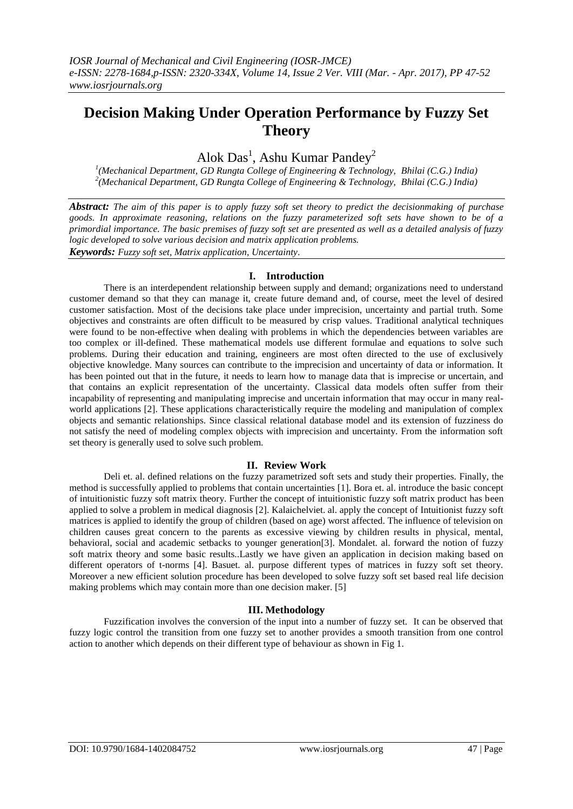# **Decision Making Under Operation Performance by Fuzzy Set Theory**

Alok Das<sup>1</sup>, Ashu Kumar Pandey<sup>2</sup>

<sup>1</sup>(Mechanical Department, GD Rungta College of Engineering & Technology, Bhilai (C.G.) India) *2 (Mechanical Department, GD Rungta College of Engineering & Technology, Bhilai (C.G.) India)*

*Abstract: The aim of this paper is to apply fuzzy soft set theory to predict the decisionmaking of purchase goods. In approximate reasoning, relations on the fuzzy parameterized soft sets have shown to be of a primordial importance. The basic premises of fuzzy soft set are presented as well as a detailed analysis of fuzzy logic developed to solve various decision and matrix application problems. Keywords: Fuzzy soft set, Matrix application, Uncertainty.*

# **I. Introduction**

There is an interdependent relationship between supply and demand; organizations need to understand customer demand so that they can manage it, create future demand and, of course, meet the level of desired customer satisfaction. Most of the decisions take place under imprecision, uncertainty and partial truth. Some objectives and constraints are often difficult to be measured by crisp values. Traditional analytical techniques were found to be non-effective when dealing with problems in which the dependencies between variables are too complex or ill-defined. These mathematical models use different formulae and equations to solve such problems. During their education and training, engineers are most often directed to the use of exclusively objective knowledge. Many sources can contribute to the imprecision and uncertainty of data or information. It has been pointed out that in the future, it needs to learn how to manage data that is imprecise or uncertain, and that contains an explicit representation of the uncertainty. Classical data models often suffer from their incapability of representing and manipulating imprecise and uncertain information that may occur in many realworld applications [2]. These applications characteristically require the modeling and manipulation of complex objects and semantic relationships. Since classical relational database model and its extension of fuzziness do not satisfy the need of modeling complex objects with imprecision and uncertainty. From the information soft set theory is generally used to solve such problem.

# **II. Review Work**

Deli et. al. defined relations on the fuzzy parametrized soft sets and study their properties. Finally, the method is successfully applied to problems that contain uncertainties [1]. Bora et. al. introduce the basic concept of intuitionistic fuzzy soft matrix theory. Further the concept of intuitionistic fuzzy soft matrix product has been applied to solve a problem in medical diagnosis [2]. Kalaichelviet. al. apply the concept of Intuitionist fuzzy soft matrices is applied to identify the group of children (based on age) worst affected. The influence of television on children causes great concern to the parents as excessive viewing by children results in physical, mental, behavioral, social and academic setbacks to younger generation[3]. Mondalet. al. forward the notion of fuzzy soft matrix theory and some basic results..Lastly we have given an application in decision making based on different operators of t-norms [4]. Basuet. al. purpose different types of matrices in fuzzy soft set theory. Moreover a new efficient solution procedure has been developed to solve fuzzy soft set based real life decision making problems which may contain more than one decision maker. [5]

# **III. Methodology**

Fuzzification involves the conversion of the input into a number of fuzzy set. It can be observed that fuzzy logic control the transition from one fuzzy set to another provides a smooth transition from one control action to another which depends on their different type of behaviour as shown in Fig 1.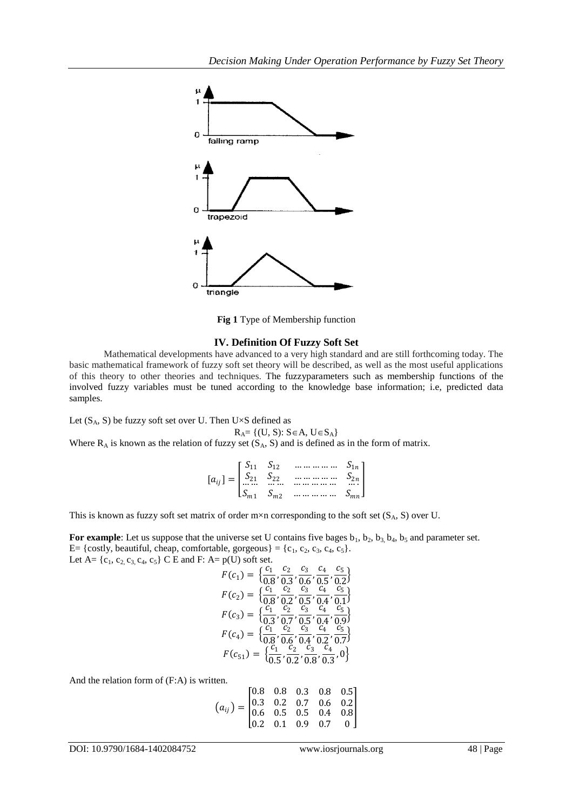

**Fig 1** Type of Membership function

## **IV. Definition Of Fuzzy Soft Set**

Mathematical developments have advanced to a very high standard and are still forthcoming today. The basic mathematical framework of fuzzy soft set theory will be described, as well as the most useful applications of this theory to other theories and techniques. The fuzzyparameters such as membership functions of the involved fuzzy variables must be tuned according to the knowledge base information; i.e, predicted data samples.

Let  $(S_A, S)$  be fuzzy soft set over U. Then U $\times S$  defined as

 $R_A = \{(U, S): S \in A, U \in S_A\}$ Where  $R_A$  is known as the relation of fuzzy set  $(S_A, S)$  and is defined as in the form of matrix.

$$
[a_{ij}] = \begin{bmatrix} S_{11} & S_{12} & \dots & \dots & S_{1n} \\ S_{21} & S_{22} & \dots & \dots & S_{2n} \\ \dots & \dots & \dots & \dots & \dots & S_{2n} \\ S_{m1} & S_{m2} & \dots & \dots & \dots & S_{mn} \end{bmatrix}
$$

This is known as fuzzy soft set matrix of order  $m \times n$  corresponding to the soft set  $(S_A, S)$  over U.

For example: Let us suppose that the universe set U contains five bages  $b_1$ ,  $b_2$ ,  $b_3$ ,  $b_4$ ,  $b_5$  and parameter set. E= {costly, beautiful, cheap, comfortable, gorgeous} = {c<sub>1</sub>, c<sub>2</sub>, c<sub>3</sub>, c<sub>4</sub>, c<sub>5</sub>}. Let  $A = \{c_1, c_2, c_3, c_4, c_5\}$  C E and F:  $A = p(U)$  soft set.

$$
F(c_1) = \left\{ \frac{c_1}{0.8}, \frac{c_2}{0.3}, \frac{c_3}{0.6}, \frac{c_4}{0.5}, \frac{c_5}{0.2} \right\}
$$
  
\n
$$
F(c_2) = \left\{ \frac{c_1}{0.8}, \frac{c_2}{0.2}, \frac{c_3}{0.5}, \frac{c_4}{0.4}, \frac{c_5}{0.1} \right\}
$$
  
\n
$$
F(c_3) = \left\{ \frac{c_1}{0.3}, \frac{c_2}{0.7}, \frac{c_3}{0.5}, \frac{c_4}{0.4}, \frac{c_5}{0.9} \right\}
$$
  
\n
$$
F(c_4) = \left\{ \frac{c_1}{0.8}, \frac{c_2}{0.6}, \frac{c_3}{0.4}, \frac{c_4}{0.2}, \frac{c_5}{0.7} \right\}
$$
  
\n
$$
F(c_{51}) = \left\{ \frac{c_1}{0.5}, \frac{c_2}{0.2}, \frac{c_3}{0.8}, \frac{c_4}{0.3}, 0 \right\}
$$

And the relation form of (F:A) is written.

$$
(a_{ij}) = \begin{bmatrix} 0.8 & 0.8 & 0.3 & 0.8 & 0.5 \\ 0.3 & 0.2 & 0.7 & 0.6 & 0.2 \\ 0.6 & 0.5 & 0.5 & 0.4 & 0.8 \\ 0.2 & 0.1 & 0.9 & 0.7 & 0 \end{bmatrix}
$$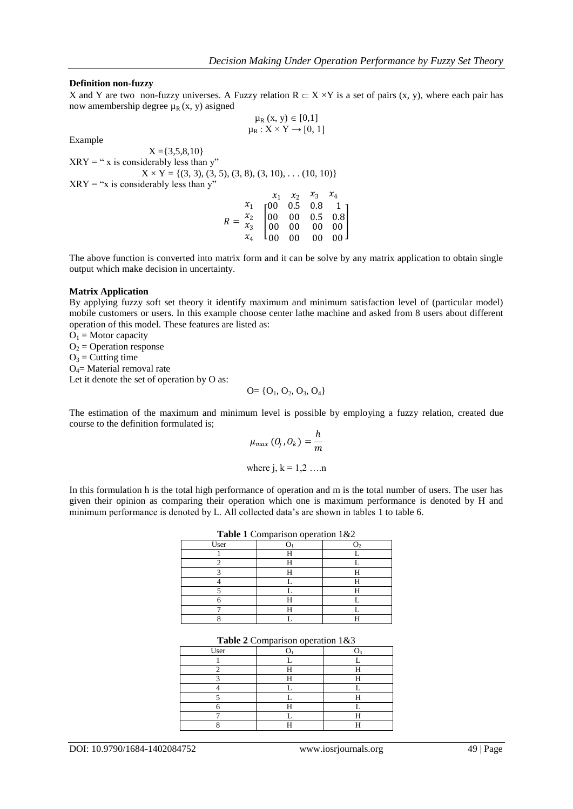## **Definition non-fuzzy**

X and Y are two non-fuzzy universes. A Fuzzy relation  $R \subset X \times Y$  is a set of pairs (x, y), where each pair has now amembership degree  $\mu_R(x, y)$  asigned  $\mu_R$  (x, y)  $\in$  [0,1]

 $\mu_R : X \times Y \rightarrow [0, 1]$ 

Example

 $X = \{3,5,8,10\}$  $XRY = " x is considerably less than y"$  $X \times Y = \{(3, 3), (3, 5), (3, 8), (3, 10), \dots (10, 10)\}\$  $XRY = "x$  is considerably less than y"  $x_1$   $x_2$  $\gamma_2$   $\gamma_1$ 

$$
R = \frac{x_1}{x_3} \begin{bmatrix} x_1 & x_2 & x_3 & x_4 \\ 00 & 0.5 & 0.8 & 1 \\ 00 & 00 & 0.5 & 0.8 \\ 00 & 00 & 00 & 00 \\ x_4 & 00 & 00 & 00 & 00 \end{bmatrix}
$$

The above function is converted into matrix form and it can be solve by any matrix application to obtain single output which make decision in uncertainty.

#### **Matrix Application**

By applying fuzzy soft set theory it identify maximum and minimum satisfaction level of (particular model) mobile customers or users. In this example choose center lathe machine and asked from 8 users about different operation of this model. These features are listed as:

 $O_1$  = Motor capacity  $O<sub>2</sub> =$  Operation response  $O_3$  = Cutting time  $O<sub>4</sub>=$  Material removal rate Let it denote the set of operation by O as:

$$
O = \{O_1, O_2, O_3, O_4\}
$$

The estimation of the maximum and minimum level is possible by employing a fuzzy relation, created due course to the definition formulated is;

$$
\mu_{max}(O_j, O_k) = \frac{h}{m}
$$
  
where j, k = 1,2 ...n

In this formulation h is the total high performance of operation and m is the total number of users. The user has given their opinion as comparing their operation which one is maximum performance is denoted by H and minimum performance is denoted by L. All collected data's are shown in tables 1 to table 6.

| Table 1 Comparison operation 1&2 |  |  |  |
|----------------------------------|--|--|--|
| User                             |  |  |  |
|                                  |  |  |  |
|                                  |  |  |  |
|                                  |  |  |  |
|                                  |  |  |  |
|                                  |  |  |  |
|                                  |  |  |  |
|                                  |  |  |  |
|                                  |  |  |  |

#### **Table 2** Comparison operation 1&3

| User |  |
|------|--|
|      |  |
|      |  |
|      |  |
|      |  |
|      |  |
|      |  |
|      |  |
|      |  |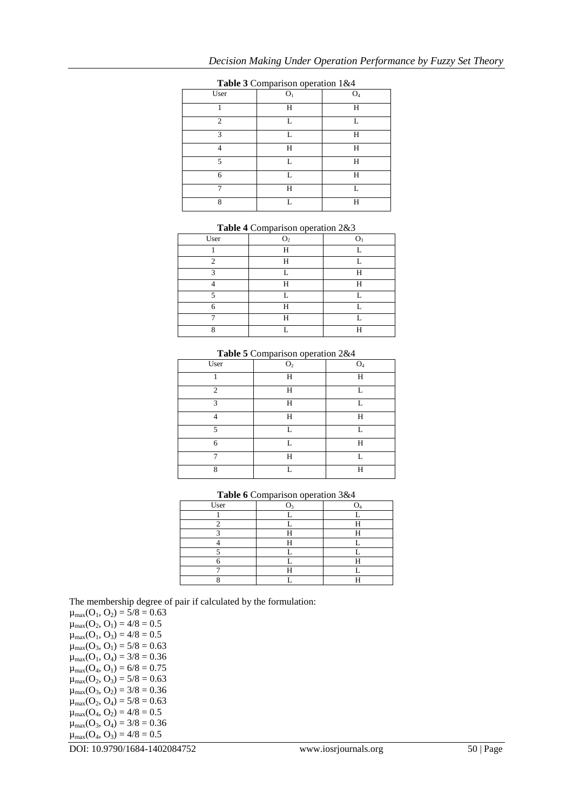| User           | O <sub>1</sub> | O <sub>4</sub> |
|----------------|----------------|----------------|
|                | H              | Н              |
| $\overline{c}$ | L              | L              |
| $\mathcal{R}$  | L              | H              |
|                | H              | H              |
| 5              | L              | H              |
| 6              | L              | H              |
|                | H              | L              |
| 8              | L              | Н              |

## **Table 3** Comparison operation 1&4

| Table 4 Comparison operation 2&3 |                |                |  |
|----------------------------------|----------------|----------------|--|
| User                             | O <sub>2</sub> | O <sub>3</sub> |  |
|                                  |                |                |  |
| ∍                                | н              |                |  |
|                                  |                | н              |  |
|                                  | н              | н              |  |
|                                  |                |                |  |
|                                  | Н              |                |  |
|                                  | Ц              |                |  |
| o                                |                |                |  |

#### **Table 5** Comparison operation 2&4

| -т<br>-r--               |                |                |  |  |
|--------------------------|----------------|----------------|--|--|
| User                     | O <sub>2</sub> | O <sub>4</sub> |  |  |
|                          | H              | H              |  |  |
| $\overline{2}$           | H              | L              |  |  |
| $\mathbf{3}$             | H              | L              |  |  |
|                          | Н              | H              |  |  |
| $\overline{\phantom{a}}$ | L              | L              |  |  |
| 6                        | L              | H              |  |  |
|                          | H              | L              |  |  |
| $\mathsf{\ }$            | L              | H              |  |  |

|                   | Table 6 Comparison operation 3&4 |  |
|-------------------|----------------------------------|--|
| II <sub>cor</sub> |                                  |  |

| User |  |
|------|--|
|      |  |
|      |  |
|      |  |
|      |  |
|      |  |
|      |  |
|      |  |
|      |  |

The membership degree of pair if calculated by the formulation:

 $\mu_{max}(O_1, O_2) = 5/8 = 0.63$  $\mu_{max}(O_2, O_1) = 4/8 = 0.5$  $\mu_{max}(O_1, O_3) = 4/8 = 0.5$  $\mu_{\text{max}}(O_3, O_1) = 5/8 = 0.63$  $\mu_{max}(O_1, O_4) = 3/8 = 0.36$  $\mu_{max}(O_4, O_1) = 6/8 = 0.75$  $\mu_{max}(O_2, O_3) = 5/8 = 0.63$  $\mu_{max}(O_3, O_2) = 3/8 = 0.36$  $\mu_{max}(O_2, O_4) = 5/8 = 0.63$  $\mu_{max}(O_4, O_2) = 4/8 = 0.5$  $\mu_{max}(O_3, O_4) = 3/8 = 0.36$  $\mu_{max}(O_4, O_3) = 4/8 = 0.5$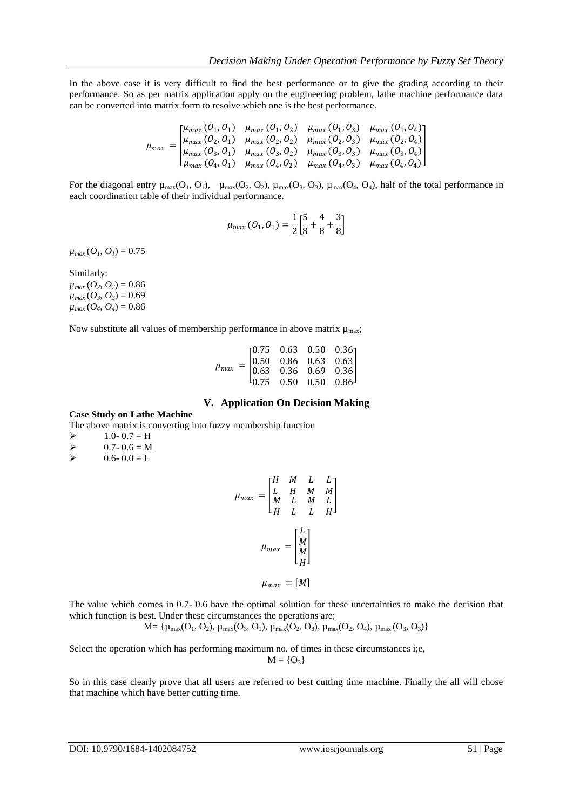In the above case it is very difficult to find the best performance or to give the grading according to their performance. So as per matrix application apply on the engineering problem, lathe machine performance data can be converted into matrix form to resolve which one is the best performance.

$$
\mu_{max} = \begin{bmatrix} \mu_{max} (O_1, O_1) & \mu_{max} (O_1, O_2) & \mu_{max} (O_1, O_3) & \mu_{max} (O_1, O_4) \\ \mu_{max} (O_2, O_1) & \mu_{max} (O_2, O_2) & \mu_{max} (O_2, O_3) & \mu_{max} (O_2, O_4) \\ \mu_{max} (O_3, O_1) & \mu_{max} (O_3, O_2) & \mu_{max} (O_3, O_3) & \mu_{max} (O_3, O_4) \\ \mu_{max} (O_4, O_1) & \mu_{max} (O_4, O_2) & \mu_{max} (O_4, O_3) & \mu_{max} (O_4, O_4) \end{bmatrix}
$$

For the diagonal entry  $\mu_{\text{max}}(O_1, O_1)$ ,  $\mu_{\text{max}}(O_2, O_2)$ ,  $\mu_{\text{max}}(O_3, O_3)$ ,  $\mu_{\text{max}}(O_4, O_4)$ , half of the total performance in each coordination table of their individual performance.

$$
\mu_{max}(O_1, O_1) = \frac{1}{2} \left[ \frac{5}{8} + \frac{4}{8} + \frac{3}{8} \right]
$$

 $\mu_{max}(O_l, O_l) = 0.75$ 

Similarly:

 $\mu_{max}(O_2, O_2) = 0.86$  $\mu_{max}(O_3, O_3) = 0.69$  $\mu_{max}(O_4, O_4) = 0.86$ 

Now substitute all values of membership performance in above matrix  $\mu_{\text{max}}$ ;

| $\mu_{max} = \begin{bmatrix} 0.75 & 0.63 & 0.50 & 0.36 \ 0.50 & 0.86 & 0.63 & 0.63 \ 0.63 & 0.36 & 0.69 & 0.36 \ 0.75 & 0.50 & 0.50 & 0.86 \end{bmatrix}$ |  |  |  |
|-----------------------------------------------------------------------------------------------------------------------------------------------------------|--|--|--|
|                                                                                                                                                           |  |  |  |
|                                                                                                                                                           |  |  |  |

#### **V. Application On Decision Making**

#### **Case Study on Lathe Machine**

The above matrix is converting into fuzzy membership function

 $\geq 1.0 - 0.7 = H$ 

- $\geq$  0.7- 0.6 = M<br> $\geq$  0.6- 0.0 = L
- $0.6 0.0 = L$

$$
\mu_{max} = \begin{bmatrix} H & M & L & L \\ L & H & M & M \\ M & L & M & L \\ H & L & L & H \end{bmatrix}
$$

$$
\mu_{max} = \begin{bmatrix} L \\ M \\ M \\ H \end{bmatrix}
$$

$$
\mu_{max} = [M]
$$

The value which comes in 0.7- 0.6 have the optimal solution for these uncertainties to make the decision that which function is best. Under these circumstances the operations are;

$$
M{=}\left\{ \mu_{max}(O_1,O_2),\, \mu_{max}(O_3,O_1),\, \mu_{max}(O_2,O_3),\, \mu_{max}(O_2,O_4),\, \mu_{max}(O_3,O_3) \right\}
$$

Select the operation which has performing maximum no. of times in these circumstances i;e,  $M = \{O_3\}$ 

So in this case clearly prove that all users are referred to best cutting time machine. Finally the all will chose that machine which have better cutting time.